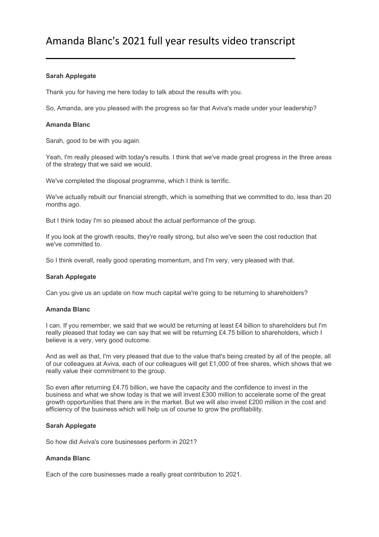# **Sarah Applegate**

Thank you for having me here today to talk about the results with you.

So, Amanda, are you pleased with the progress so far that Aviva's made under your leadership?

## **Amanda Blanc**

Sarah, good to be with you again.

Yeah, I'm really pleased with today's results. I think that we've made great progress in the three areas of the strategy that we said we would.

We've completed the disposal programme, which I think is terrific.

We've actually rebuilt our financial strength, which is something that we committed to do, less than 20 months ago.

But I think today I'm so pleased about the actual performance of the group.

If you look at the growth results, they're really strong, but also we've seen the cost reduction that we've committed to.

So I think overall, really good operating momentum, and I'm very, very pleased with that.

# **Sarah Applegate**

Can you give us an update on how much capital we're going to be returning to shareholders?

# **Amanda Blanc**

I can. If you remember, we said that we would be returning at least £4 billion to shareholders but I'm really pleased that today we can say that we will be returning £4.75 billion to shareholders, which I believe is a very, very good outcome.

And as well as that, I'm very pleased that due to the value that's being created by all of the people, all of our colleagues at Aviva, each of our colleagues will get £1,000 of free shares, which shows that we really value their commitment to the group.

So even after returning £4.75 billion, we have the capacity and the confidence to invest in the business and what we show today is that we will invest £300 million to accelerate some of the great growth opportunities that there are in the market. But we will also invest £200 million in the cost and efficiency of the business which will help us of course to grow the profitability.

## **Sarah Applegate**

So how did Aviva's core businesses perform in 2021?

## **Amanda Blanc**

Each of the core businesses made a really great contribution to 2021.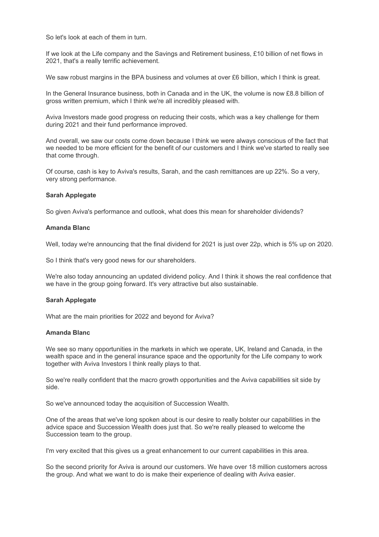So let's look at each of them in turn.

If we look at the Life company and the Savings and Retirement business, £10 billion of net flows in 2021, that's a really terrific achievement.

We saw robust margins in the BPA business and volumes at over £6 billion, which I think is great.

In the General Insurance business, both in Canada and in the UK, the volume is now £8.8 billion of gross written premium, which I think we're all incredibly pleased with.

Aviva Investors made good progress on reducing their costs, which was a key challenge for them during 2021 and their fund performance improved.

And overall, we saw our costs come down because I think we were always conscious of the fact that we needed to be more efficient for the benefit of our customers and I think we've started to really see that come through.

Of course, cash is key to Aviva's results, Sarah, and the cash remittances are up 22%. So a very, very strong performance.

#### **Sarah Applegate**

So given Aviva's performance and outlook, what does this mean for shareholder dividends?

#### **Amanda Blanc**

Well, today we're announcing that the final dividend for 2021 is just over 22p, which is 5% up on 2020.

So I think that's very good news for our shareholders.

We're also today announcing an updated dividend policy. And I think it shows the real confidence that we have in the group going forward. It's very attractive but also sustainable.

#### **Sarah Applegate**

What are the main priorities for 2022 and beyond for Aviva?

## **Amanda Blanc**

We see so many opportunities in the markets in which we operate, UK, Ireland and Canada, in the wealth space and in the general insurance space and the opportunity for the Life company to work together with Aviva Investors I think really plays to that.

So we're really confident that the macro growth opportunities and the Aviva capabilities sit side by side.

So we've announced today the acquisition of Succession Wealth.

One of the areas that we've long spoken about is our desire to really bolster our capabilities in the advice space and Succession Wealth does just that. So we're really pleased to welcome the Succession team to the group.

I'm very excited that this gives us a great enhancement to our current capabilities in this area.

So the second priority for Aviva is around our customers. We have over 18 million customers across the group. And what we want to do is make their experience of dealing with Aviva easier.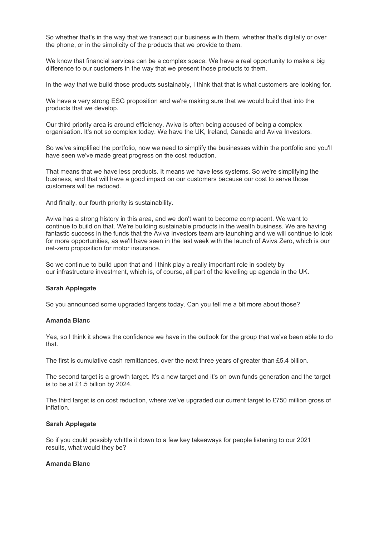So whether that's in the way that we transact our business with them, whether that's digitally or over the phone, or in the simplicity of the products that we provide to them.

We know that financial services can be a complex space. We have a real opportunity to make a big difference to our customers in the way that we present those products to them.

In the way that we build those products sustainably, I think that that is what customers are looking for.

We have a very strong ESG proposition and we're making sure that we would build that into the products that we develop.

Our third priority area is around efficiency. Aviva is often being accused of being a complex organisation. It's not so complex today. We have the UK, Ireland, Canada and Aviva Investors.

So we've simplified the portfolio, now we need to simplify the businesses within the portfolio and you'll have seen we've made great progress on the cost reduction.

That means that we have less products. It means we have less systems. So we're simplifying the business, and that will have a good impact on our customers because our cost to serve those customers will be reduced.

And finally, our fourth priority is sustainability.

Aviva has a strong history in this area, and we don't want to become complacent. We want to continue to build on that. We're building sustainable products in the wealth business. We are having fantastic success in the funds that the Aviva Investors team are launching and we will continue to look for more opportunities, as we'll have seen in the last week with the launch of Aviva Zero, which is our net-zero proposition for motor insurance.

So we continue to build upon that and I think play a really important role in society by our infrastructure investment, which is, of course, all part of the levelling up agenda in the UK.

## **Sarah Applegate**

So you announced some upgraded targets today. Can you tell me a bit more about those?

## **Amanda Blanc**

Yes, so I think it shows the confidence we have in the outlook for the group that we've been able to do that.

The first is cumulative cash remittances, over the next three years of greater than £5.4 billion.

The second target is a growth target. It's a new target and it's on own funds generation and the target is to be at £1.5 billion by 2024.

The third target is on cost reduction, where we've upgraded our current target to £750 million gross of inflation.

#### **Sarah Applegate**

So if you could possibly whittle it down to a few key takeaways for people listening to our 2021 results, what would they be?

## **Amanda Blanc**